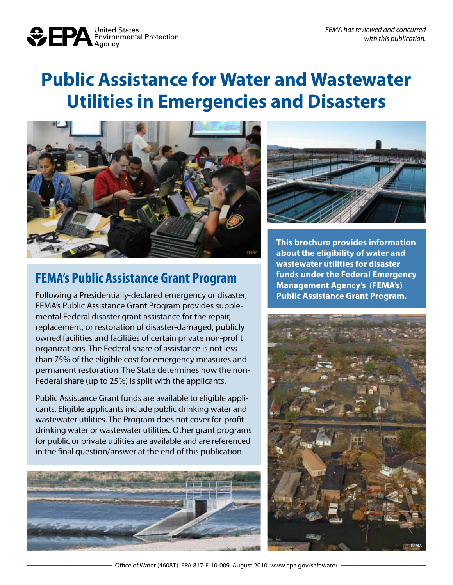

# **Public Assistance for Water and Wastewater Utilities in Emergencies and Disasters**



### **FEMA's Public Assistance Grant Program**

Following a Presidentially-declared emergency or disaster, FEMA's Public Assistance Grant Program provides supplemental Federal disaster grant assistance for the repair, replacement, or restoration of disaster-damaged, publicly owned facilities and facilities of certain private non-profit organizations. The Federal share of assistance is not less than 75% of the eligible cost for emergency measures and permanent restoration. The State determines how the non-Federal share (up to 25%) is split with the applicants.

Public Assistance Grant funds are available to eligible applicants. Eligible applicants include public drinking water and wastewater utilities. The Program does not cover for-profit drinking water or wastewater utilities. Other grant programs for public or private utilities are available and are referenced in the final question/answer at the end of this publication.





**This brochure provides information about the eligibility of water and wastewater utilities for disaster funds under the Federal Emergency Management Agency's (FEMA's) Public Assistance Grant Program.**

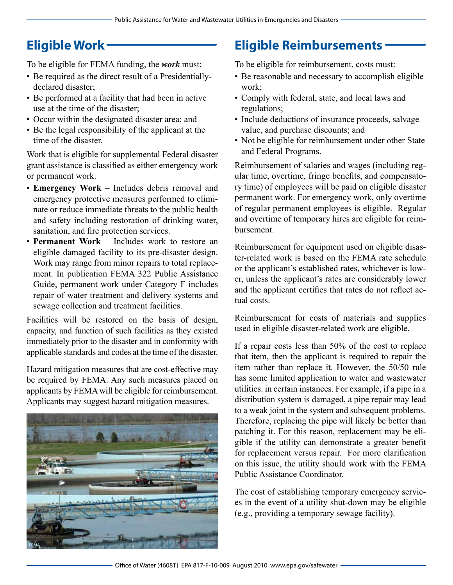## **Eligible Work**

To be eligible for FEMA funding, the *work* must:

- Be required as the direct result of a Presidentiallydeclared disaster;
- Be performed at a facility that had been in active use at the time of the disaster;
- Occur within the designated disaster area; and
- Be the legal responsibility of the applicant at the time of the disaster.

Work that is eligible for supplemental Federal disaster grant assistance is classified as either emergency work or permanent work.

- • **Emergency Work** Includes debris removal and emergency protective measures performed to eliminate or reduce immediate threats to the public health and safety including restoration of drinking water, sanitation, and fire protection services.
- **Permanent Work** Includes work to restore an eligible damaged facility to its pre-disaster design. Work may range from minor repairs to total replacement. In publication FEMA 322 Public Assistance Guide, permanent work under Category F includes repair of water treatment and delivery systems and sewage collection and treatment facilities.

Facilities will be restored on the basis of design, capacity, and function of such facilities as they existed immediately prior to the disaster and in conformity with applicable standards and codes at the time of the disaster.

Hazard mitigation measures that are cost-effective may be required by FEMA. Any such measures placed on applicants by FEMA will be eligible for reimbursement. Applicants may suggest hazard mitigation measures.



## **Eligible Reimbursements**

To be eligible for reimbursement, costs must:

- Be reasonable and necessary to accomplish eligible work;
- Comply with federal, state, and local laws and regulations;
- Include deductions of insurance proceeds, salvage value, and purchase discounts; and
- Not be eligible for reimbursement under other State and Federal Programs.

Reimbursement of salaries and wages (including regular time, overtime, fringe benefits, and compensatory time) of employees will be paid on eligible disaster permanent work. For emergency work, only overtime of regular permanent employees is eligible. Regular and overtime of temporary hires are eligible for reimbursement.

Reimbursement for equipment used on eligible disaster-related work is based on the FEMA rate schedule or the applicant's established rates, whichever is lower, unless the applicant's rates are considerably lower and the applicant certifies that rates do not reflect actual costs.

Reimbursement for costs of materials and supplies used in eligible disaster-related work are eligible.

If a repair costs less than 50% of the cost to replace that item, then the applicant is required to repair the item rather than replace it. However, the 50/50 rule has some limited application to water and wastewater utilities. in certain instances. For example, if a pipe in a distribution system is damaged, a pipe repair may lead to a weak joint in the system and subsequent problems. Therefore, replacing the pipe will likely be better than patching it. For this reason, replacement may be eligible if the utility can demonstrate a greater benefit for replacement versus repair. For more clarification on this issue, the utility should work with the FEMA Public Assistance Coordinator.

The cost of establishing temporary emergency services in the event of a utility shut-down may be eligible (e.g., providing a temporary sewage facility).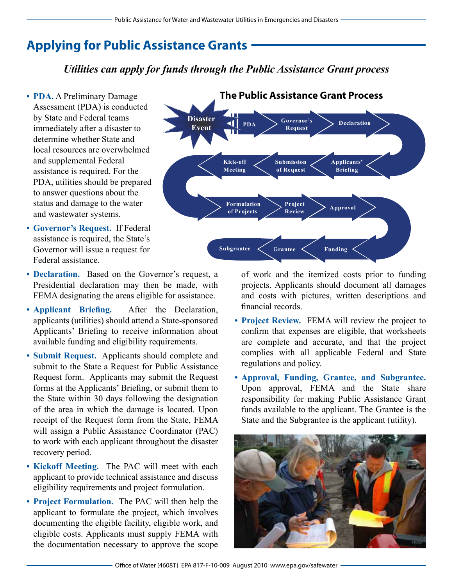## **Applying for Public Assistance Grants**

### **The Public Assistance Process** *Utilities can apply for funds through the Public Assistance Grant process*

**Disaster Event**

**PDA**

**Kick-off Meeting**

¶≻

**Governor's Request**

**The Public Assistance Grant Process**

**Submission of Request**

- **PDA.** A Preliminary Damage Assessment (PDA) is conducted by State and Federal teams immediately after a disaster to determine whether State and local resources are overwhelmed and supplemental Federal assistance is required. For the PDA, utilities should be prepared to answer questions about the status and damage to the water and wastewater systems.
- **• Governor's Request.** If Federal assistance is required, the State's Governor will issue a request for Federal assistance.
- **Declaration.** Based on the Governor's request, a Presidential declaration may then be made, with FEMA designating the areas eligible for assistance.
- **• Applicant Briefing.** After the Declaration, applicants (utilities) should attend a State-sponsored Applicants' Briefing to receive information about available funding and eligibility requirements.
- **• Submit Request.** Applicants should complete and submit to the State a Request for Public Assistance Request form. Applicants may submit the Request forms at the Applicants' Briefing, or submit them to the State within 30 days following the designation of the area in which the damage is located. Upon receipt of the Request form from the State, FEMA will assign a Public Assistance Coordinator (PAC) to work with each applicant throughout the disaster recovery period.
- **• Kickoff Meeting.** The PAC will meet with each applicant to provide technical assistance and discuss eligibility requirements and project formulation.
- **• Project Formulation.** The PAC will then help the applicant to formulate the project, which involves documenting the eligible facility, eligible work, and eligible costs. Applicants must supply FEMA with the documentation necessary to approve the scope



projects. Applicants should document all damages and costs with pictures, written descriptions and financial records.

**Declaration**

**Applicants' Briefing**

- **• Project Review.** FEMA will review the project to confirm that expenses are eligible, that worksheets are complete and accurate, and that the project complies with all applicable Federal and State regulations and policy.
- **• Approval, Funding, Grantee, and Subgrantee.** Upon approval, FEMA and the State share responsibility for making Public Assistance Grant funds available to the applicant. The Grantee is the State and the Subgrantee is the applicant (utility).